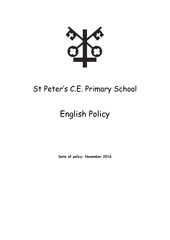

# St Peter's C.E. Primary School

# English Policy

**Date of policy: November 2016**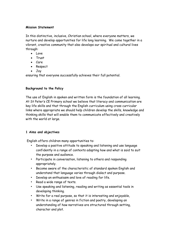#### **Mission Statement**

In this distinctive, inclusive, Christian school, where everyone matters, we nurture and develop opportunities for life long learning. We come together in a vibrant, creative community that also develops our spiritual and cultural lives through:

- Love
- Trust
- Care
- Respect
- Joy

ensuring that everyone successfully achieves their full potential.

# **Background to the Policy**

The use of English in spoken and written form is the foundation of all learning. At St Peter's CE Primary school we believe that literacy and communication are key life skills and that through the English curriculum using cross curricular links where appropriate we should help children develop the skills, knowledge and thinking skills that will enable them to communicate effectively and creatively with the world at large.

# **1 Aims and objectives**

English offers children many opportunities to:

- Develop a positive attitude to speaking and listening and use language confidently in a range of contexts adapting how and what is said to suit the purpose and audience.
- Participate in conversation, listening to others and responding appropriately.
- Become aware of the characteristic of standard spoken English and understand that language varies through dialect and purpose.
- Develop an enthusiasm and love of reading for life.
- Read a wide range of texts.
- Use speaking and listening, reading and writing as essential tools in developing thinking.
- Write for a real purpose, so that it is interesting and enjoyable,
- Write in a range of genres in fiction and poetry, developing an understanding of how narratives are structured through setting, character and plot.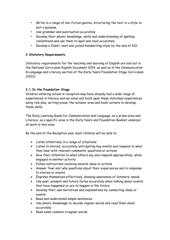- Write in a range of non-fiction genres, structuring the text in a style to suit a purpose.
- Use grammar and punctuation accurately.
- Develop their phonic knowledge, skills and understanding of spelling conventions and use them to spell and read accurately.
- Develop a fluent, neat and joined handwriting style by the end of KS1.

# **2 Statutory Requirements**

Statutory requirements for the teaching and learning of English are laid out in the National Curriculum English Document 2014, as well as in the Communication & Language and Literacy section of the Early Years Foundation Stage Curriculum (2012).

# **2.1 In the Foundation Stage**

Children entering school in reception may have already had a wide range of experiences in literacy and we value and build upon these individual experiences using role play, writing areas, the outdoor area and book corners to develop these skills.

The Early Learning Goals for Communication and Language, as a prime area and Literacy, as a specific area in the Early Years and Foundation Booklet underpin all work in this area.

By the end of the Reception year most children will be able to:

- Listen attentively in a range of situations
- Listen to stories, accurately anticipating key events and respond to what they hear with relevant comments, questions or actions
- Give their attention to what others say and respond appropriately, while engaged in another activity
- Follow instructions involving several ideas or actions
- Answer 'how' and 'why questions about their experiences and in response to stories or events
- Express themselves effectively, showing awareness of listeners' needs.
- Use past, present and future forms accurately when talking about events that have happened or are to happen in the future
- Develop their own narratives and explanations by connecting ideas or events
- Read and understand simple sentences
- Use phonic knowledge to decode regular words and read them aloud accurately
- Read some common irregular words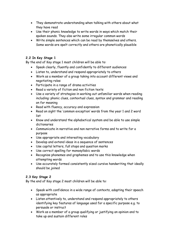- They demonstrate understanding when talking with others about what they have read
- Use their phonic knowledge to write words in ways which match their spoken sounds. They also write some irregular common words
- Write simple sentences which can be read by themselves and others. Some words are spelt correctly and others are phonetically plausible

# **2.2 In Key Stage 1**

By the end of Key stage 1 most children will be able to:

- Speak clearly, fluently and confidently to different audiences
- Listen to, understand and respond appropriately to others
- Work as a member of a group taking into account different views and negotiating roles
- Participate in a range of drama activities
- Read a variety of fiction and non fiction texts
- Use a variety of strategies in working out unfamiliar words when reading including: phonic clues, contextual clues, syntax and grammar and reading on for meaning
- Read with fluency, accuracy and expression
- Read on sight the 'common exception' words from the year 1 and 2 word list
- Know and understand the alphabetical system and be able to use simple dictionaries
- Communicate in narrative and non narrative forms and to write for a purpose
- Use appropriate and interesting vocabulary
- Develop and extend ideas in a sequence of sentences
- Use capital letters, full stops and question marks
- Use correct spelling for monosyllabic words
- Recognise phonemes and graphemes and to use this knowledge when attempting words
- Use accurately formed consistently sized cursive handwriting that ideally should be joined

# **2.3 Key Stage 2**

By the end of Key stage 2 most children will be able to:

- Speak with confidence in a wide range of contexts, adapting their speech as appropriate
- Listen attentively to, understand and respond appropriately to others identifying key features of language used for a specific purpose e.g. to persuade or instruct
- Work as a member of a group qualifying or justifying an opinion and to take up and sustain different roles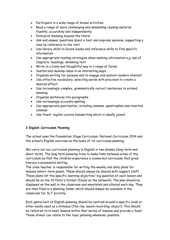- Participate in a wide range of drama activities
- Read a range of more challenging and demanding reading material fluently, accurately and independently
- Interpret meaning beyond the literal
- Ask and answer questions about a text and express opinions, supporting a view by reference to the text
- Use library skills to locate books and reference skills to find specific information
- Use appropriate reading strategies when seeking information e.g. use of chapters, headings, skimming text
- Write in a lively and thoughtful way in a range of forms
- Sustain and develop ideas in an interesting ways
- Organise writing for purpose and to engage and sustain readers interest
- Use effective vocabulary, selecting words with precision to create a desired effect
- Use increasingly complex, grammatically correct sentences to extend meaning
- Organise sentences into paragraphs
- Use increasingly accurate spelling
- Use appropriate punctuation, including commas, apostrophes and inverted commas
- Use fluent, legible cursive handwriting which is ideally joined

#### **3 English Curriculum Planning**

The school uses the Foundation Stage Curriculum, National Curriculum 2014 and the school's English overview as the basis of its curriculum planning.

We carry out our curriculum planning in English in two phases (long-term and short term). The long term planning tries to make links between areas of the curriculum so that the children experience a connected curriculum that gives literacy a purposeful setting.

The class teacher is responsible for writing the weekly and daily plans for lessons (short-term plans). These should always be shared with support staff. These plans list the specific learning objective/ big question of each lesson and should be on the St Peter's format (found on the network). The plan should be displayed on the wall in the classroom and annotated and altered each day. They are then filed in a planning folder which should always be available in the classroom for SLT scrutiny.

Each genre/unit of English planning should be centred around a specific book or other media used as a stimulus (film clip, sound recording, object). This should be referred to in most lessons within that series of lessons and provide a 'hook'. These stimuli can relate to the topic planning whenever possible.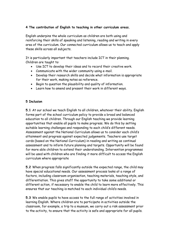# **4 The contribution of English to teaching in other curriculum areas.**

English underpins the whole curriculum as children are both using and reinforcing their skills of speaking and listening, reading and writing in every area of the curriculum. Our connected curriculum allows us to teach and apply these skills across all subjects.

It is particularly important that teachers include ICT in their planning. Children are taught to:

- Use ICT to develop their ideas and to record their creative work.
- Communicate with the wider community using e-mail.
- Develop their research skills and decide what information is appropriate for their work, making notes as reference.
- Begin to question the plausibility and quality of information.
- Learn how to amend and present their work in different ways.

## **5 Inclusion**

**5.1** At our school we teach English to all children, whatever their ability. English forms part of the school curriculum policy to provide a broad and balanced education to all children. Through our English teaching we provide learning opportunities that enable all pupils to make progress. We do this by setting suitable learning challenges and responding to each child's different needs. Assessment against the National Curriculum allows us to consider each child's attainment and progress against expected judgements. Teachers use target cards (based on the National Curriculum) in reading and writing as continual assessment and to inform future planning and targets. Opportunity will be found for more able children to extend their understanding. Intervention programmes will be used with children who are finding it more difficult to access the English curriculum where appropriate

**5.2** When progress falls significantly outside the expected range, the child may have special educational needs. Our assessment process looks at a range of factors, including classroom organisation, teaching materials, teaching style, and differentiation. This gives staff the opportunity to take some additional or different action, if necessary to enable the child to learn more effectively. This ensures that our teaching is matched to each individual child's needs.

**5.3** We enable pupils to have access to the full range of activities involved in learning English. Where children are to participate in activities outside the classroom, for example, a trip to a museum, we carry out a risk assessment prior to the activity, to ensure that the activity is safe and appropriate for all pupils.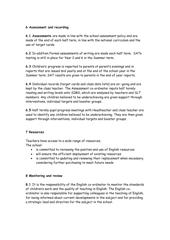# **6 Assessment and recording**

**6.1 Assessments** are made in line with the school assessment policy and are made at the end of each half term, in line with the national curriculum and the use of target cards.

**6.2** In addition Formal assessments of writing are made each half term. SATs testing is still in place for Year 2 and 6 in the Summer term.

**6.3** Children's progress is reported to parents at parent's evenings and in reports that are issued mid yearly and at the end of the school year in the Summer term. SAT results are given to parents in the end of year reports.

**6.4** Individual records (target cards and class data lists) are on –going and are kept by the class teacher. The Assessment co-ordinator inputs half termly reading and writing levels onto SIMS, which are analysed by teachers and SLT members. Any children believed to be underachieving are given support through interventions, individual targets and booster groups.

**6.5** Half termly pupil progress meetings with Headteacher and class teacher are used to identify any children believed to be underachieving. They are then given support through interventions, individual targets and booster groups.

# **7 Resources**

Teachers have access to a wide range of resources. The school:

- is committed to reviewing the position and use of English resources
- will ensure the efficient deployment of existing resources
- is committed to updating and renewing their replacement when necessary, considering further purchasing to meet future needs

# **8 Monitoring and review**

**8.1** It is the responsibility of the English co-ordinator to monitor the standards of children's work and the quality of teaching in English. The English coordinator is also responsible for supporting colleagues in the teaching of English, for being informed about current developments in the subject and for providing a strategic lead and direction for the subject in the school.